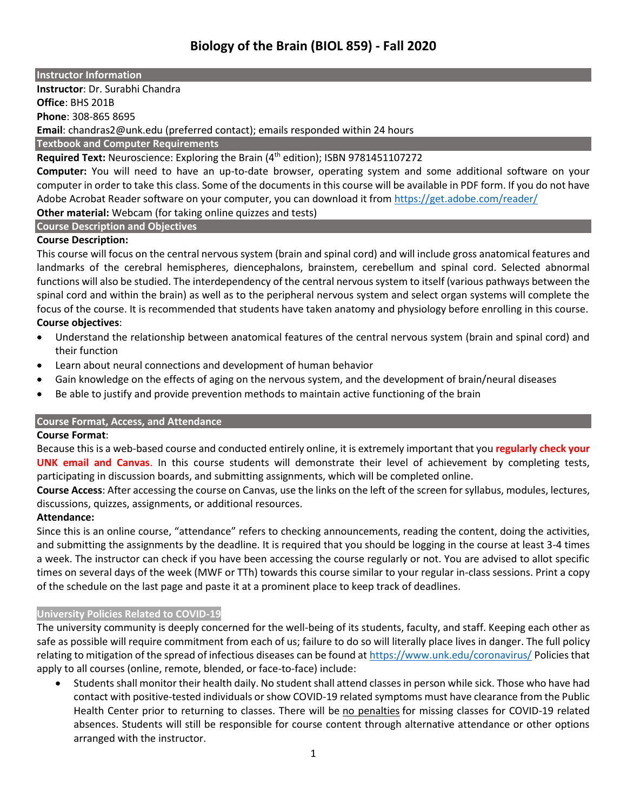## **Instructor Information**

**Instructor**: Dr. Surabhi Chandra **Office**: BHS 201B **Phone**: 308-865 8695 **Email**: chandras2@unk.edu (preferred contact); emails responded within 24 hours **Textbook and Computer Requirements**

Required Text: Neuroscience: Exploring the Brain (4<sup>th</sup> edition); ISBN 9781451107272

**Computer:** You will need to have an up-to-date browser, operating system and some additional software on your computer in order to take this class. Some of the documents in this course will be available in PDF form. If you do not have Adobe Acrobat Reader software on your computer, you can download it from<https://get.adobe.com/reader/>

**Other material:** Webcam (for taking online quizzes and tests)

# **Course Description and Objectives**

# **Course Description:**

This course will focus on the central nervous system (brain and spinal cord) and will include gross anatomical features and landmarks of the cerebral hemispheres, diencephalons, brainstem, cerebellum and spinal cord. Selected abnormal functions will also be studied. The interdependency of the central nervous system to itself (various pathways between the spinal cord and within the brain) as well as to the peripheral nervous system and select organ systems will complete the focus of the course. It is recommended that students have taken anatomy and physiology before enrolling in this course. **Course objectives**:

- Understand the relationship between anatomical features of the central nervous system (brain and spinal cord) and their function
- Learn about neural connections and development of human behavior
- Gain knowledge on the effects of aging on the nervous system, and the development of brain/neural diseases
- Be able to justify and provide prevention methods to maintain active functioning of the brain

# **Course Format, Access, and Attendance**

# **Course Format**:

Because this is a web-based course and conducted entirely online, it is extremely important that you **regularly check your UNK email and Canvas**. In this course students will demonstrate their level of achievement by completing tests, participating in discussion boards, and submitting assignments, which will be completed online.

**Course Access**: After accessing the course on Canvas, use the links on the left of the screen for syllabus, modules, lectures, discussions, quizzes, assignments, or additional resources.

# **Attendance:**

Since this is an online course, "attendance" refers to checking announcements, reading the content, doing the activities, and submitting the assignments by the deadline. It is required that you should be logging in the course at least 3-4 times a week. The instructor can check if you have been accessing the course regularly or not. You are advised to allot specific times on several days of the week (MWF or TTh) towards this course similar to your regular in-class sessions. Print a copy of the schedule on the last page and paste it at a prominent place to keep track of deadlines.

# **University Policies Related to COVID-19**

The university community is deeply concerned for the well-being of its students, faculty, and staff. Keeping each other as safe as possible will require commitment from each of us; failure to do so will literally place lives in danger. The full policy relating to mitigation of the spread of infectious diseases can be found at <https://www.unk.edu/coronavirus/> Policies that apply to all courses (online, remote, blended, or face-to-face) include:

• Students shall monitor their health daily. No student shall attend classes in person while sick. Those who have had contact with positive-tested individuals or show COVID-19 related symptoms must have clearance from the Public Health Center prior to returning to classes. There will be no penalties for missing classes for COVID-19 related absences. Students will still be responsible for course content through alternative attendance or other options arranged with the instructor.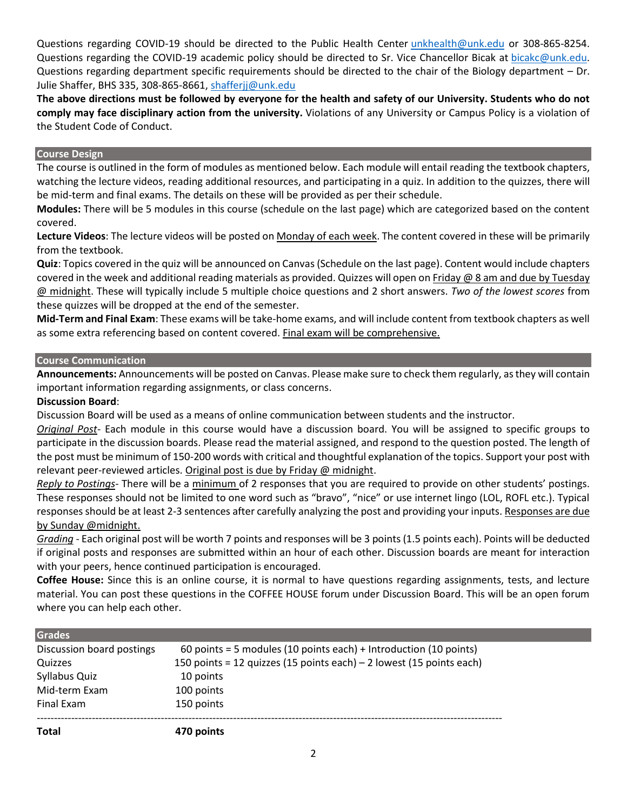Questions regarding COVID-19 should be directed to the Public Health Center [unkhealth@unk.edu](mailto:unkhealth@unk.edu) or 308-865-8254. Questions regarding the COVID-19 academic policy should be directed to Sr. Vice Chancellor Bicak at [bicakc@unk.edu.](mailto:bicakc@unk.edu) Questions regarding department specific requirements should be directed to the chair of the Biology department – Dr. Julie Shaffer, BHS 335, 308-865-8661[, shafferjj@unk.edu](mailto:shafferjj@unk.edu)

**The above directions must be followed by everyone for the health and safety of our University. Students who do not comply may face disciplinary action from the university.** Violations of any University or Campus Policy is a violation of the Student Code of Conduct.

## **Course Design**

The course is outlined in the form of modules as mentioned below. Each module will entail reading the textbook chapters, watching the lecture videos, reading additional resources, and participating in a quiz. In addition to the quizzes, there will be mid-term and final exams. The details on these will be provided as per their schedule.

**Modules:** There will be 5 modules in this course (schedule on the last page) which are categorized based on the content covered.

**Lecture Videos**: The lecture videos will be posted on Monday of each week. The content covered in these will be primarily from the textbook.

**Quiz**: Topics covered in the quiz will be announced on Canvas (Schedule on the last page). Content would include chapters covered in the week and additional reading materials as provided. Quizzes will open on Friday @ 8 am and due by Tuesday @ midnight. These will typically include 5 multiple choice questions and 2 short answers. *Two of the lowest scores* from these quizzes will be dropped at the end of the semester.

**Mid-Term and Final Exam**: These exams will be take-home exams, and will include content from textbook chapters as well as some extra referencing based on content covered. Final exam will be comprehensive.

# **Course Communication**

**Announcements:** Announcements will be posted on Canvas. Please make sure to check them regularly, as they will contain important information regarding assignments, or class concerns.

## **Discussion Board**:

Discussion Board will be used as a means of online communication between students and the instructor.

*Original Post*- Each module in this course would have a discussion board. You will be assigned to specific groups to participate in the discussion boards. Please read the material assigned, and respond to the question posted. The length of the post must be minimum of 150-200 words with critical and thoughtful explanation of the topics. Support your post with relevant peer-reviewed articles. Original post is due by Friday @ midnight.

*Reply to Postings*- There will be a minimum of 2 responses that you are required to provide on other students' postings. These responses should not be limited to one word such as "bravo", "nice" or use internet lingo (LOL, ROFL etc.). Typical responses should be at least 2-3 sentences after carefully analyzing the post and providing your inputs. Responses are due by Sunday @midnight.

*Grading* - Each original post will be worth 7 points and responses will be 3 points (1.5 points each). Points will be deducted if original posts and responses are submitted within an hour of each other. Discussion boards are meant for interaction with your peers, hence continued participation is encouraged.

**Coffee House:** Since this is an online course, it is normal to have questions regarding assignments, tests, and lecture material. You can post these questions in the COFFEE HOUSE forum under Discussion Board. This will be an open forum where you can help each other.

| 470 points                                                           |
|----------------------------------------------------------------------|
| 150 points                                                           |
| 100 points                                                           |
| 10 points                                                            |
| 150 points = 12 quizzes (15 points each) – 2 lowest (15 points each) |
| 60 points = 5 modules (10 points each) + Introduction (10 points)    |
|                                                                      |
|                                                                      |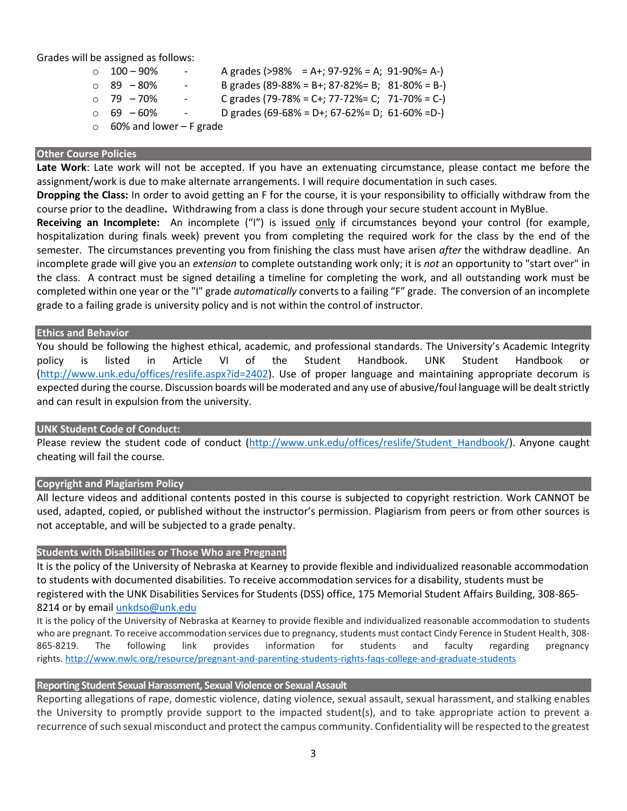Grades will be assigned as follows:

- $\circ$  100 90% A grades (>98% = A+; 97-92% = A; 91-90% = A-)  $\circ$  89 – 80% - B grades (89-88% = B+; 87-82% = B; 81-80% = B-)  $\circ$  79 – 70% - C grades (79-78% = C+; 77-72% = C; 71-70% = C-)  $\circ$  69 – 60% - D grades (69-68% = D+; 67-62% = D; 61-60% = D-)
- $\circ$  60% and lower F grade

### **Other Course Policies**

**Late Work**: Late work will not be accepted. If you have an extenuating circumstance, please contact me before the assignment/work is due to make alternate arrangements. I will require documentation in such cases.

**Dropping the Class:** In order to avoid getting an F for the course, it is your responsibility to officially withdraw from the course prior to the deadline**.** Withdrawing from a class is done through your secure student account in MyBlue.

**Receiving an Incomplete:** An incomplete ("I") is issued only if circumstances beyond your control (for example, hospitalization during finals week) prevent you from completing the required work for the class by the end of the semester. The circumstances preventing you from finishing the class must have arisen *after* the withdraw deadline. An incomplete grade will give you an *extension* to complete outstanding work only; it is *not* an opportunity to "start over" in the class. A contract must be signed detailing a timeline for completing the work, and all outstanding work must be completed within one year or the "I" grade *automatically* converts to a failing "F" grade. The conversion of an incomplete grade to a failing grade is university policy and is not within the control of instructor.

### **Ethics and Behavior**

You should be following the highest ethical, academic, and professional standards. The University's Academic Integrity policy is listed in Article VI of the Student Handbook. UNK Student Handbook or [\(http://www.unk.edu/offices/reslife.aspx?id=2402\)](http://www.unk.edu/offices/reslife.aspx?id=2402). Use of proper language and maintaining appropriate decorum is expected during the course. Discussion boards will be moderated and any use of abusive/foul language will be dealt strictly and can result in expulsion from the university.

## **UNK Student Code of Conduct:**

Please review the student code of conduct [\(http://www.unk.edu/offices/reslife/Student\\_Handbook/\)](http://www.unk.edu/offices/reslife/Student_Handbook/). Anyone caught cheating will fail the course.

## **Copyright and Plagiarism Policy**

All lecture videos and additional contents posted in this course is subjected to copyright restriction. Work CANNOT be used, adapted, copied, or published without the instructor's permission. Plagiarism from peers or from other sources is not acceptable, and will be subjected to a grade penalty.

## **Students with Disabilities or Those Who are Pregnant**

It is the policy of the University of Nebraska at Kearney to provide flexible and individualized reasonable accommodation to students with documented disabilities. To receive accommodation services for a disability, students must be registered with the UNK Disabilities Services for Students (DSS) office, 175 Memorial Student Affairs Building, 308-865- 8214 or by email [unkdso@unk.edu](mailto:unkdso@unk.edu) 

It is the policy of the University of Nebraska at Kearney to provide flexible and individualized reasonable accommodation to students who are pregnant. To receive accommodation services due to pregnancy, students must contact Cindy Ference in Student Health, 308- 865-8219. The following link provides information for students and faculty regarding pregnancy rights. [http://www.nwlc.org/resource/pregnant-and-parenting-students-rights-faqs-college-and-graduate-students](https://urldefense.proofpoint.com/v2/url?u=http-3A__www.nwlc.org_resource_pregnant-2Dand-2Dparenting-2Dstudents-2Drights-2Dfaqs-2Dcollege-2Dand-2Dgraduate-2Dstudents&d=DwMFAg&c=Cu5g146wZdoqVuKpTNsYHeFX_rg6kWhlkLF8Eft-wwo&r=BJkIhAaMtWY7PlqIhIOyVw&m=RgBL3s2VNHfvD5ReMK2q_PhwYU8dbEt1vxs1BO4WkpQ&s=MmB91XAzaW-E7UPMXPGx9tWJQbTWJYyYzM8gLjhEzQ0&e=)

## **Reporting Student Sexual Harassment, Sexual Violence or Sexual Assault**

Reporting allegations of rape, domestic violence, dating violence, sexual assault, sexual harassment, and stalking enables the University to promptly provide support to the impacted student(s), and to take appropriate action to prevent a recurrence of such sexual misconduct and protect the campus community. Confidentiality will be respected to the greatest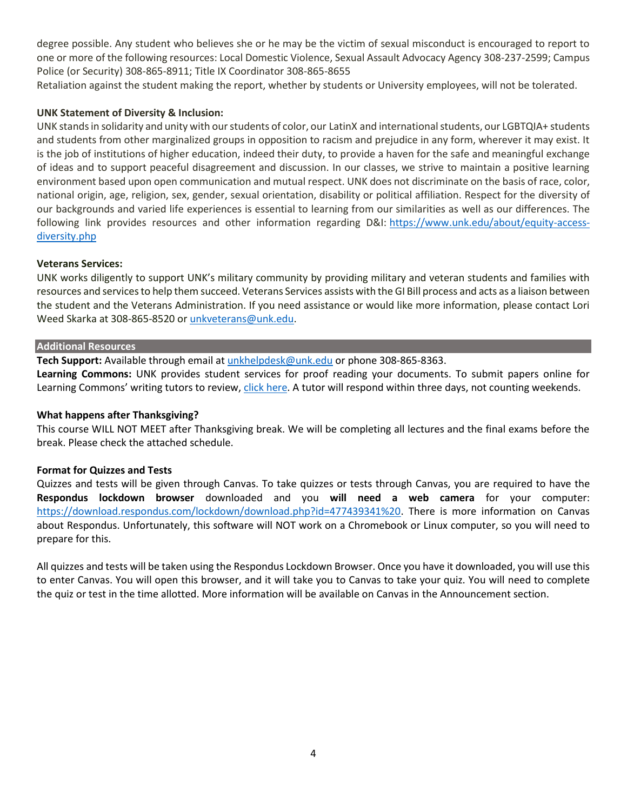degree possible. Any student who believes she or he may be the victim of sexual misconduct is encouraged to report to one or more of the following resources: Local Domestic Violence, Sexual Assault Advocacy Agency 308-237-2599; Campus Police (or Security) 308-865-8911; Title IX Coordinator 308-865-8655

Retaliation against the student making the report, whether by students or University employees, will not be tolerated.

# **UNK Statement of Diversity & Inclusion:**

UNK stands in solidarity and unity with our students of color, our LatinX and international students, our LGBTQIA+ students and students from other marginalized groups in opposition to racism and prejudice in any form, wherever it may exist. It is the job of institutions of higher education, indeed their duty, to provide a haven for the safe and meaningful exchange of ideas and to support peaceful disagreement and discussion. In our classes, we strive to maintain a positive learning environment based upon open communication and mutual respect. UNK does not discriminate on the basis of race, color, national origin, age, religion, sex, gender, sexual orientation, disability or political affiliation. Respect for the diversity of our backgrounds and varied life experiences is essential to learning from our similarities as well as our differences. The following link provides resources and other information regarding D&I: [https://www.unk.edu/about/equity-access](https://www.unk.edu/about/equity-access-diversity.php)[diversity.php](https://www.unk.edu/about/equity-access-diversity.php)

# **Veterans Services:**

UNK works diligently to support UNK's military community by providing military and veteran students and families with resources and services to help them succeed. Veterans Services assists with the GI Bill process and acts as a liaison between the student and the Veterans Administration. If you need assistance or would like more information, please contact Lori Weed Skarka at 308-865-8520 or [unkveterans@unk.edu.](mailto:unkveterans@unk.edu)

## **Additional Resources**

**Tech Support:** Available through email at [unkhelpdesk@unk.edu](mailto:unkhelpdesk@unk.edu) or phone 308-865-8363.

**Learning Commons:** UNK provides student services for proof reading your documents. To submit papers online for Learning Commons' writing tutors to review, [click here.](http://www.unk.edu/offices/learning_commons/writing-center/index.php) A tutor will respond within three days, not counting weekends.

# **What happens after Thanksgiving?**

This course WILL NOT MEET after Thanksgiving break. We will be completing all lectures and the final exams before the break. Please check the attached schedule.

# **Format for Quizzes and Tests**

Quizzes and tests will be given through Canvas. To take quizzes or tests through Canvas, you are required to have the **Respondus lockdown browser** downloaded and you **will need a web camera** for your computer: [https://download.respondus.com/lockdown/download.php?id=477439341%20.](https://download.respondus.com/lockdown/download.php?id=477439341%20) There is more information on Canvas about Respondus. Unfortunately, this software will NOT work on a Chromebook or Linux computer, so you will need to prepare for this.

All quizzes and tests will be taken using the Respondus Lockdown Browser. Once you have it downloaded, you will use this to enter Canvas. You will open this browser, and it will take you to Canvas to take your quiz. You will need to complete the quiz or test in the time allotted. More information will be available on Canvas in the Announcement section.